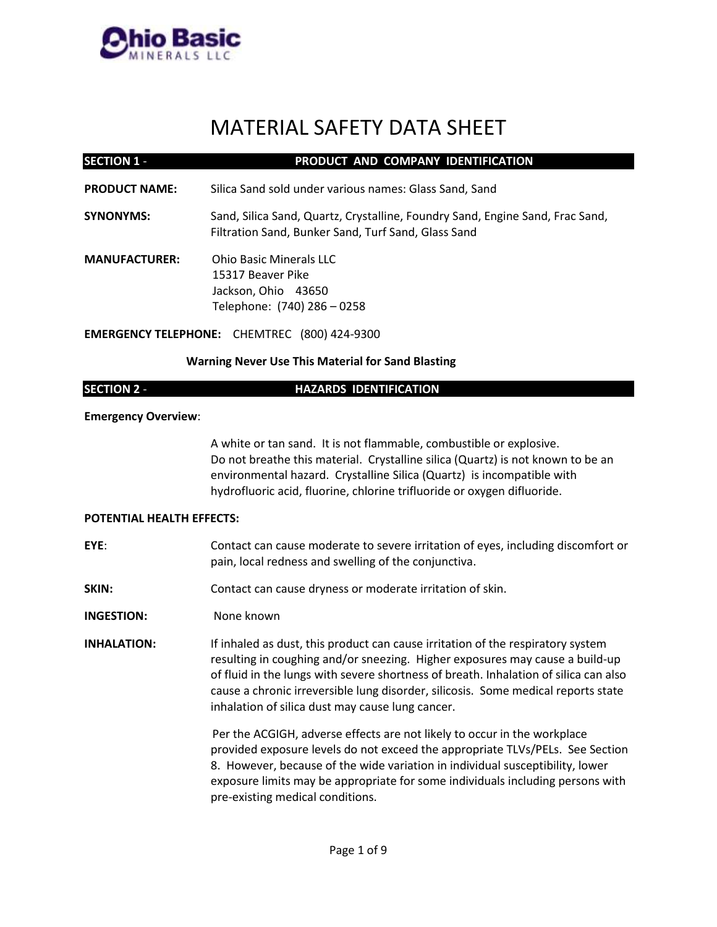

## MATERIAL SAFETY DATA SHEET

| <b>SECTION 1 -</b>               | PRODUCT AND COMPANY IDENTIFICATION                                                                                                                                                                                                                                                                                                                                                               |  |
|----------------------------------|--------------------------------------------------------------------------------------------------------------------------------------------------------------------------------------------------------------------------------------------------------------------------------------------------------------------------------------------------------------------------------------------------|--|
| <b>PRODUCT NAME:</b>             | Silica Sand sold under various names: Glass Sand, Sand                                                                                                                                                                                                                                                                                                                                           |  |
| <b>SYNONYMS:</b>                 | Sand, Silica Sand, Quartz, Crystalline, Foundry Sand, Engine Sand, Frac Sand,<br>Filtration Sand, Bunker Sand, Turf Sand, Glass Sand                                                                                                                                                                                                                                                             |  |
| <b>MANUFACTURER:</b>             | <b>Ohio Basic Minerals LLC</b><br>15317 Beaver Pike<br>Jackson, Ohio 43650<br>Telephone: (740) 286 - 0258                                                                                                                                                                                                                                                                                        |  |
|                                  | <b>EMERGENCY TELEPHONE: CHEMTREC (800) 424-9300</b>                                                                                                                                                                                                                                                                                                                                              |  |
|                                  | <b>Warning Never Use This Material for Sand Blasting</b>                                                                                                                                                                                                                                                                                                                                         |  |
| <b>SECTION 2 -</b>               | <b>HAZARDS IDENTIFICATION</b>                                                                                                                                                                                                                                                                                                                                                                    |  |
| <b>Emergency Overview:</b>       |                                                                                                                                                                                                                                                                                                                                                                                                  |  |
|                                  | A white or tan sand. It is not flammable, combustible or explosive.<br>Do not breathe this material. Crystalline silica (Quartz) is not known to be an<br>environmental hazard. Crystalline Silica (Quartz) is incompatible with<br>hydrofluoric acid, fluorine, chlorine trifluoride or oxygen difluoride.                                                                                      |  |
| <b>POTENTIAL HEALTH EFFECTS:</b> |                                                                                                                                                                                                                                                                                                                                                                                                  |  |
| EYE:                             | Contact can cause moderate to severe irritation of eyes, including discomfort or<br>pain, local redness and swelling of the conjunctiva.                                                                                                                                                                                                                                                         |  |
| SKIN:                            | Contact can cause dryness or moderate irritation of skin.                                                                                                                                                                                                                                                                                                                                        |  |
| <b>INGESTION:</b>                | None known                                                                                                                                                                                                                                                                                                                                                                                       |  |
| <b>INHALATION:</b>               | If inhaled as dust, this product can cause irritation of the respiratory system<br>resulting in coughing and/or sneezing. Higher exposures may cause a build-up<br>of fluid in the lungs with severe shortness of breath. Inhalation of silica can also<br>cause a chronic irreversible lung disorder, silicosis. Some medical reports state<br>inhalation of silica dust may cause lung cancer. |  |
|                                  | Per the ACGIGH, adverse effects are not likely to occur in the workplace<br>provided exposure levels do not exceed the appropriate TLVs/PELs. See Section<br>8. However, because of the wide variation in individual susceptibility, lower<br>exposure limits may be appropriate for some individuals including persons with<br>pre-existing medical conditions.                                 |  |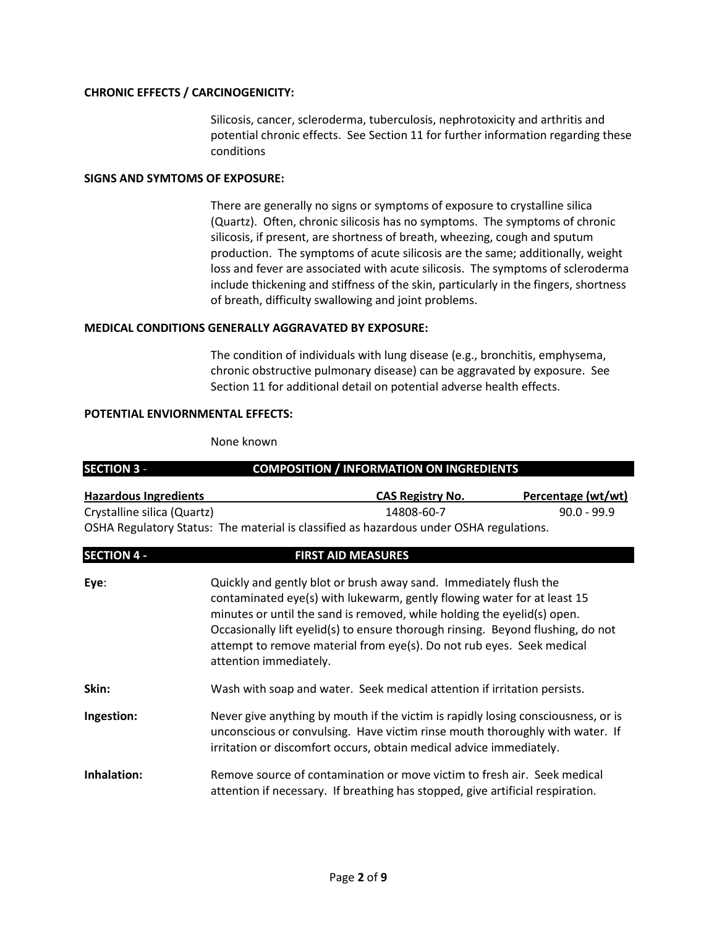### **CHRONIC EFFECTS / CARCINOGENICITY:**

Silicosis, cancer, scleroderma, tuberculosis, nephrotoxicity and arthritis and potential chronic effects. See Section 11 for further information regarding these conditions

#### **SIGNS AND SYMTOMS OF EXPOSURE:**

There are generally no signs or symptoms of exposure to crystalline silica (Quartz). Often, chronic silicosis has no symptoms. The symptoms of chronic silicosis, if present, are shortness of breath, wheezing, cough and sputum production. The symptoms of acute silicosis are the same; additionally, weight loss and fever are associated with acute silicosis. The symptoms of scleroderma include thickening and stiffness of the skin, particularly in the fingers, shortness of breath, difficulty swallowing and joint problems.

### **MEDICAL CONDITIONS GENERALLY AGGRAVATED BY EXPOSURE:**

The condition of individuals with lung disease (e.g., bronchitis, emphysema, chronic obstructive pulmonary disease) can be aggravated by exposure. See Section 11 for additional detail on potential adverse health effects.

#### **POTENTIAL ENVIORNMENTAL EFFECTS:**

None known

| <b>SECTION 3 -</b>           |  | <b>COMPOSITION / INFORMATION ON INGREDIENTS</b>                                                                                                                                                                                                                                                                                                                                                               |                           |  |
|------------------------------|--|---------------------------------------------------------------------------------------------------------------------------------------------------------------------------------------------------------------------------------------------------------------------------------------------------------------------------------------------------------------------------------------------------------------|---------------------------|--|
| <b>Hazardous Ingredients</b> |  | <b>CAS Registry No.</b>                                                                                                                                                                                                                                                                                                                                                                                       | <u>Percentage (wt/wt)</u> |  |
| Crystalline silica (Quartz)  |  | 14808-60-7                                                                                                                                                                                                                                                                                                                                                                                                    | $90.0 - 99.9$             |  |
|                              |  | OSHA Regulatory Status: The material is classified as hazardous under OSHA regulations.                                                                                                                                                                                                                                                                                                                       |                           |  |
| <b>SECTION 4 -</b>           |  | <b>FIRST AID MEASURES</b>                                                                                                                                                                                                                                                                                                                                                                                     |                           |  |
| Eye:                         |  | Quickly and gently blot or brush away sand. Immediately flush the<br>contaminated eye(s) with lukewarm, gently flowing water for at least 15<br>minutes or until the sand is removed, while holding the eyelid(s) open.<br>Occasionally lift eyelid(s) to ensure thorough rinsing. Beyond flushing, do not<br>attempt to remove material from eye(s). Do not rub eyes. Seek medical<br>attention immediately. |                           |  |
| Skin:                        |  | Wash with soap and water. Seek medical attention if irritation persists.                                                                                                                                                                                                                                                                                                                                      |                           |  |
| Ingestion:                   |  | Never give anything by mouth if the victim is rapidly losing consciousness, or is<br>unconscious or convulsing. Have victim rinse mouth thoroughly with water. If<br>irritation or discomfort occurs, obtain medical advice immediately.                                                                                                                                                                      |                           |  |
| Inhalation:                  |  | Remove source of contamination or move victim to fresh air. Seek medical<br>attention if necessary. If breathing has stopped, give artificial respiration.                                                                                                                                                                                                                                                    |                           |  |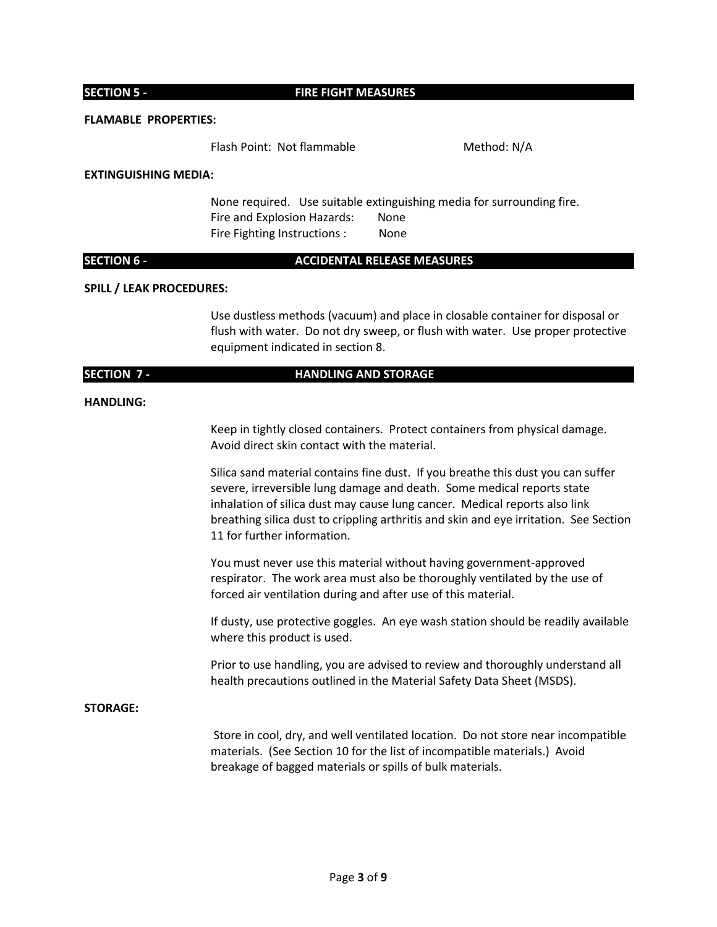#### **SECTION 5 - FIRE FIGHT MEASURES**

#### **FLAMABLE PROPERTIES:**

Flash Point: Not flammable Method: N/A

#### **EXTINGUISHING MEDIA:**

None required. Use suitable extinguishing media for surrounding fire. Fire and Explosion Hazards: None Fire Fighting Instructions : None

### **SECTION 6 - ACCIDENTAL RELEASE MEASURES**

#### **SPILL / LEAK PROCEDURES:**

Use dustless methods (vacuum) and place in closable container for disposal or flush with water. Do not dry sweep, or flush with water. Use proper protective equipment indicated in section 8.

#### **SECTION 7 - HANDLING AND STORAGE**

#### **HANDLING:**

Keep in tightly closed containers. Protect containers from physical damage. Avoid direct skin contact with the material.

Silica sand material contains fine dust. If you breathe this dust you can suffer severe, irreversible lung damage and death. Some medical reports state inhalation of silica dust may cause lung cancer. Medical reports also link breathing silica dust to crippling arthritis and skin and eye irritation. See Section 11 for further information.

You must never use this material without having government-approved respirator. The work area must also be thoroughly ventilated by the use of forced air ventilation during and after use of this material.

If dusty, use protective goggles. An eye wash station should be readily available where this product is used.

Prior to use handling, you are advised to review and thoroughly understand all health precautions outlined in the Material Safety Data Sheet (MSDS).

#### **STORAGE:**

Store in cool, dry, and well ventilated location. Do not store near incompatible materials. (See Section 10 for the list of incompatible materials.) Avoid breakage of bagged materials or spills of bulk materials.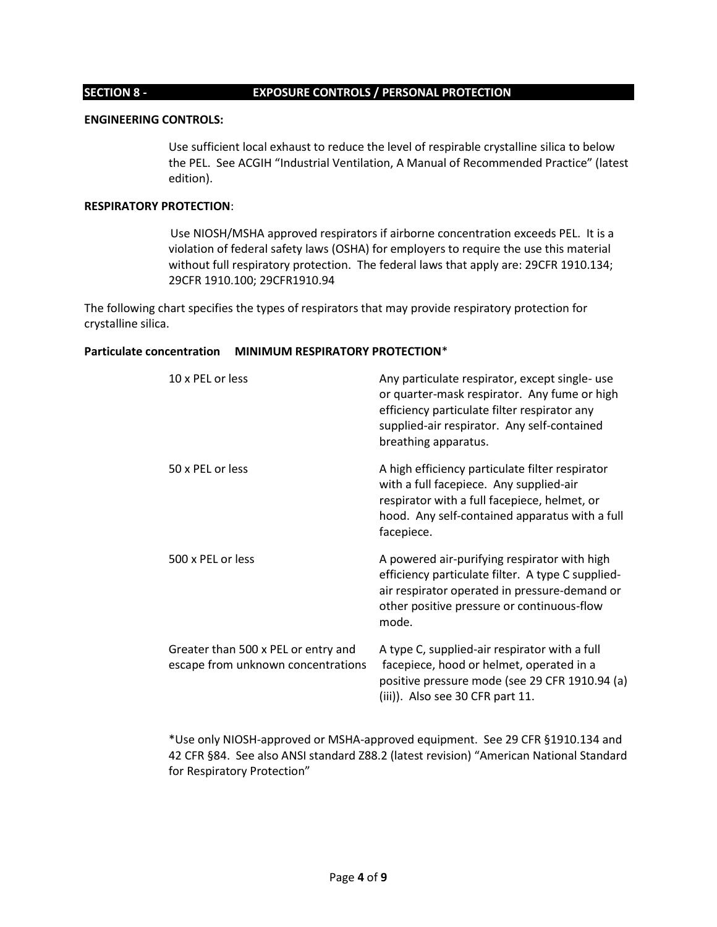#### **SECTION 8 - EXPOSURE CONTROLS / PERSONAL PROTECTION**

#### **ENGINEERING CONTROLS:**

Use sufficient local exhaust to reduce the level of respirable crystalline silica to below the PEL. See ACGIH "Industrial Ventilation, A Manual of Recommended Practice" (latest edition).

### **RESPIRATORY PROTECTION**:

Use NIOSH/MSHA approved respirators if airborne concentration exceeds PEL. It is a violation of federal safety laws (OSHA) for employers to require the use this material without full respiratory protection. The federal laws that apply are: 29CFR 1910.134; 29CFR 1910.100; 29CFR1910.94

The following chart specifies the types of respirators that may provide respiratory protection for crystalline silica.

### **Particulate concentration MINIMUM RESPIRATORY PROTECTION**\*

| 10 x PEL or less                                                          | Any particulate respirator, except single- use<br>or quarter-mask respirator. Any fume or high<br>efficiency particulate filter respirator any<br>supplied-air respirator. Any self-contained<br>breathing apparatus. |
|---------------------------------------------------------------------------|-----------------------------------------------------------------------------------------------------------------------------------------------------------------------------------------------------------------------|
| 50 x PEL or less                                                          | A high efficiency particulate filter respirator<br>with a full facepiece. Any supplied-air<br>respirator with a full facepiece, helmet, or<br>hood. Any self-contained apparatus with a full<br>facepiece.            |
| 500 x PEL or less                                                         | A powered air-purifying respirator with high<br>efficiency particulate filter. A type C supplied-<br>air respirator operated in pressure-demand or<br>other positive pressure or continuous-flow<br>mode.             |
| Greater than 500 x PEL or entry and<br>escape from unknown concentrations | A type C, supplied-air respirator with a full<br>facepiece, hood or helmet, operated in a<br>positive pressure mode (see 29 CFR 1910.94 (a)<br>(iii)). Also see 30 CFR part 11.                                       |

\*Use only NIOSH-approved or MSHA-approved equipment. See 29 CFR §1910.134 and 42 CFR §84. See also ANSI standard Z88.2 (latest revision) "American National Standard for Respiratory Protection"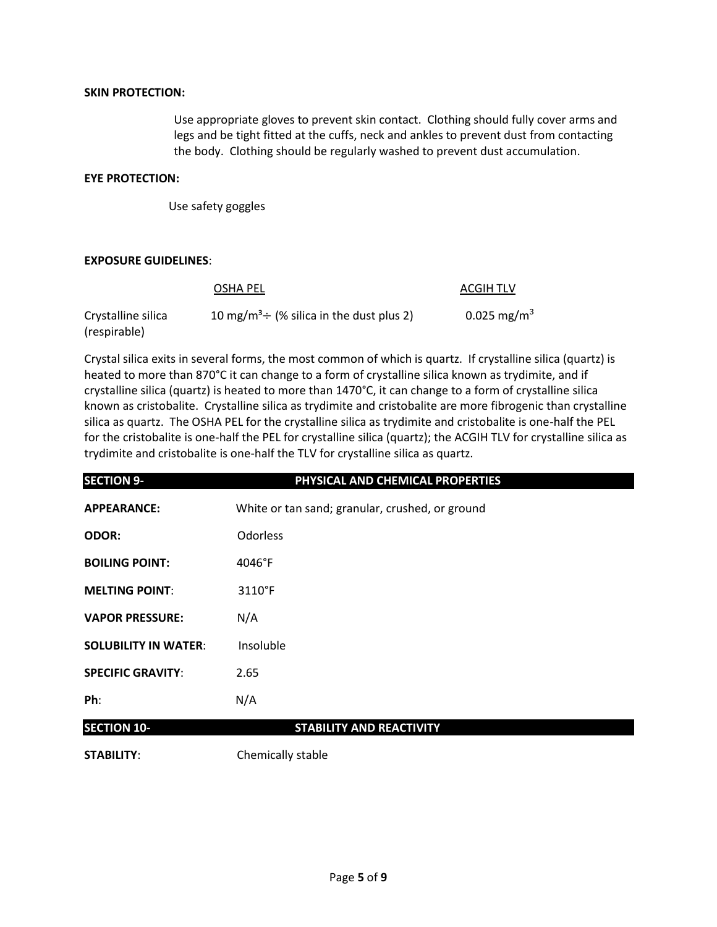### **SKIN PROTECTION:**

Use appropriate gloves to prevent skin contact. Clothing should fully cover arms and legs and be tight fitted at the cuffs, neck and ankles to prevent dust from contacting the body. Clothing should be regularly washed to prevent dust accumulation.

#### **EYE PROTECTION:**

Use safety goggles

### **EXPOSURE GUIDELINES**:

|                                    | OSHA PEL                                                  | ACGIH TLV               |
|------------------------------------|-----------------------------------------------------------|-------------------------|
| Crystalline silica<br>(respirable) | 10 mg/m <sup>3</sup> $\div$ (% silica in the dust plus 2) | 0.025 mg/m <sup>3</sup> |

Crystal silica exits in several forms, the most common of which is quartz. If crystalline silica (quartz) is heated to more than 870°C it can change to a form of crystalline silica known as trydimite, and if crystalline silica (quartz) is heated to more than 1470°C, it can change to a form of crystalline silica known as cristobalite. Crystalline silica as trydimite and cristobalite are more fibrogenic than crystalline silica as quartz. The OSHA PEL for the crystalline silica as trydimite and cristobalite is one-half the PEL for the cristobalite is one-half the PEL for crystalline silica (quartz); the ACGIH TLV for crystalline silica as trydimite and cristobalite is one-half the TLV for crystalline silica as quartz.

| <b>SECTION 9-</b>           | PHYSICAL AND CHEMICAL PROPERTIES                |
|-----------------------------|-------------------------------------------------|
| <b>APPEARANCE:</b>          | White or tan sand; granular, crushed, or ground |
| <b>ODOR:</b>                | <b>Odorless</b>                                 |
| <b>BOILING POINT:</b>       | 4046°F                                          |
| <b>MELTING POINT:</b>       | 3110°F                                          |
| <b>VAPOR PRESSURE:</b>      | N/A                                             |
| <b>SOLUBILITY IN WATER:</b> | Insoluble                                       |
| <b>SPECIFIC GRAVITY:</b>    | 2.65                                            |
| Ph:                         | N/A                                             |
| <b>SECTION 10-</b>          | <b>STABILITY AND REACTIVITY</b>                 |
| <b>STABILITY:</b>           | Chemically stable                               |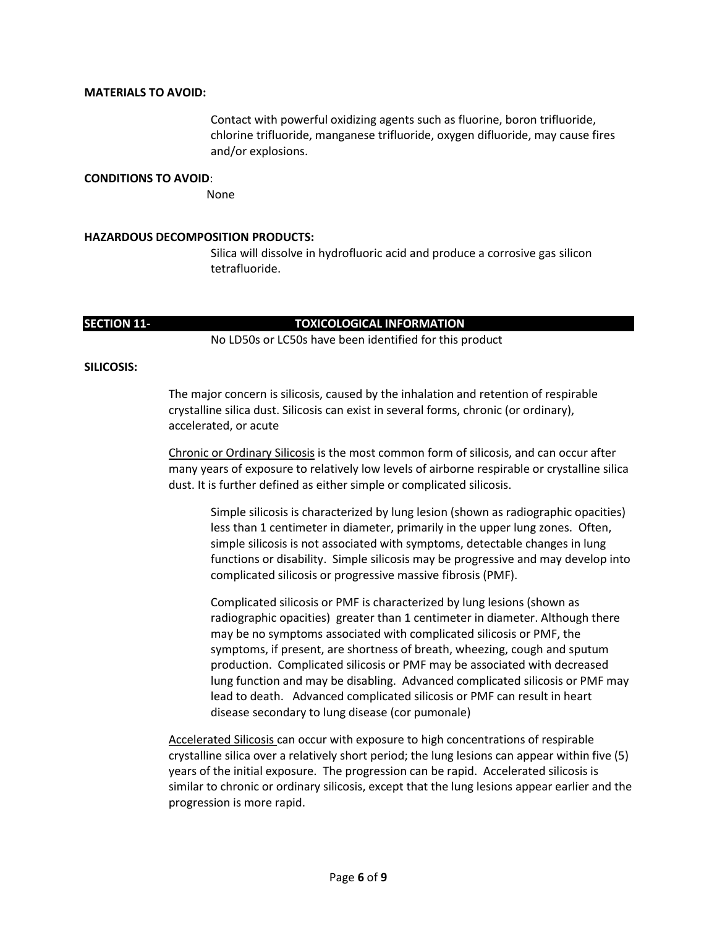#### **MATERIALS TO AVOID:**

Contact with powerful oxidizing agents such as fluorine, boron trifluoride, chlorine trifluoride, manganese trifluoride, oxygen difluoride, may cause fires and/or explosions.

#### **CONDITIONS TO AVOID**:

None

#### **HAZARDOUS DECOMPOSITION PRODUCTS:**

Silica will dissolve in hydrofluoric acid and produce a corrosive gas silicon tetrafluoride.

### **SECTION 11- TOXICOLOGICAL INFORMATION**

No LD50s or LC50s have been identified for this product

#### **SILICOSIS:**

The major concern is silicosis, caused by the inhalation and retention of respirable crystalline silica dust. Silicosis can exist in several forms, chronic (or ordinary), accelerated, or acute

Chronic or Ordinary Silicosis is the most common form of silicosis, and can occur after many years of exposure to relatively low levels of airborne respirable or crystalline silica dust. It is further defined as either simple or complicated silicosis.

Simple silicosis is characterized by lung lesion (shown as radiographic opacities) less than 1 centimeter in diameter, primarily in the upper lung zones. Often, simple silicosis is not associated with symptoms, detectable changes in lung functions or disability. Simple silicosis may be progressive and may develop into complicated silicosis or progressive massive fibrosis (PMF).

Complicated silicosis or PMF is characterized by lung lesions (shown as radiographic opacities) greater than 1 centimeter in diameter. Although there may be no symptoms associated with complicated silicosis or PMF, the symptoms, if present, are shortness of breath, wheezing, cough and sputum production. Complicated silicosis or PMF may be associated with decreased lung function and may be disabling. Advanced complicated silicosis or PMF may lead to death. Advanced complicated silicosis or PMF can result in heart disease secondary to lung disease (cor pumonale)

Accelerated Silicosis can occur with exposure to high concentrations of respirable crystalline silica over a relatively short period; the lung lesions can appear within five (5) years of the initial exposure. The progression can be rapid. Accelerated silicosis is similar to chronic or ordinary silicosis, except that the lung lesions appear earlier and the progression is more rapid.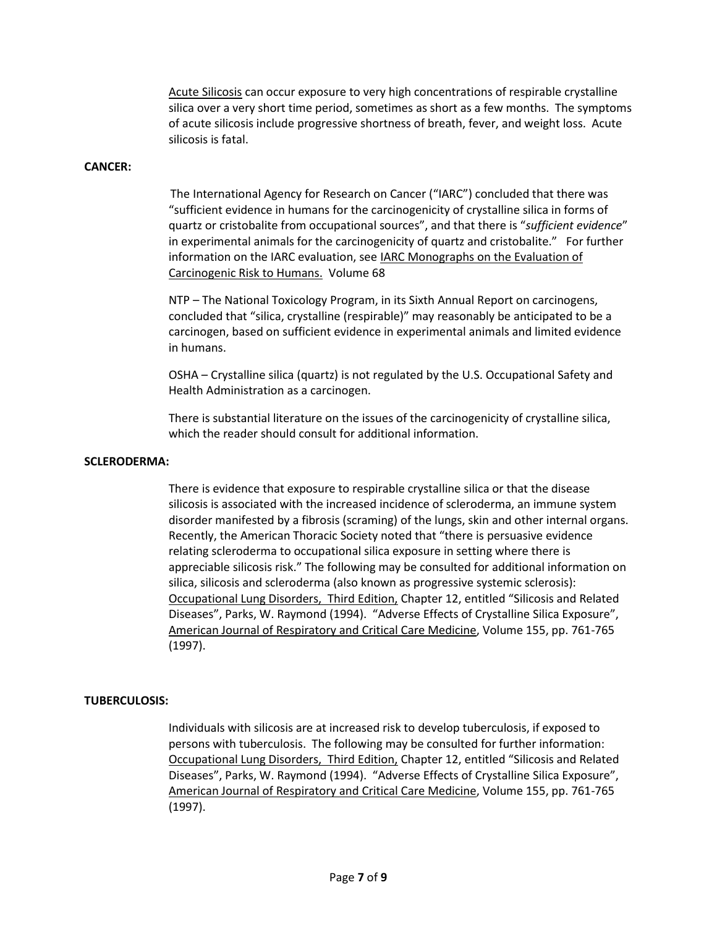Acute Silicosis can occur exposure to very high concentrations of respirable crystalline silica over a very short time period, sometimes as short as a few months. The symptoms of acute silicosis include progressive shortness of breath, fever, and weight loss. Acute silicosis is fatal.

#### **CANCER:**

The International Agency for Research on Cancer ("IARC") concluded that there was "sufficient evidence in humans for the carcinogenicity of crystalline silica in forms of quartz or cristobalite from occupational sources", and that there is "*sufficient evidence*" in experimental animals for the carcinogenicity of quartz and cristobalite." For further information on the IARC evaluation, see **IARC Monographs on the Evaluation of** Carcinogenic Risk to Humans. Volume 68

NTP – The National Toxicology Program, in its Sixth Annual Report on carcinogens, concluded that "silica, crystalline (respirable)" may reasonably be anticipated to be a carcinogen, based on sufficient evidence in experimental animals and limited evidence in humans.

OSHA – Crystalline silica (quartz) is not regulated by the U.S. Occupational Safety and Health Administration as a carcinogen.

There is substantial literature on the issues of the carcinogenicity of crystalline silica, which the reader should consult for additional information.

#### **SCLERODERMA:**

There is evidence that exposure to respirable crystalline silica or that the disease silicosis is associated with the increased incidence of scleroderma, an immune system disorder manifested by a fibrosis (scraming) of the lungs, skin and other internal organs. Recently, the American Thoracic Society noted that "there is persuasive evidence relating scleroderma to occupational silica exposure in setting where there is appreciable silicosis risk." The following may be consulted for additional information on silica, silicosis and scleroderma (also known as progressive systemic sclerosis): Occupational Lung Disorders, Third Edition, Chapter 12, entitled "Silicosis and Related Diseases", Parks, W. Raymond (1994). "Adverse Effects of Crystalline Silica Exposure", American Journal of Respiratory and Critical Care Medicine, Volume 155, pp. 761-765 (1997).

#### **TUBERCULOSIS:**

Individuals with silicosis are at increased risk to develop tuberculosis, if exposed to persons with tuberculosis. The following may be consulted for further information: Occupational Lung Disorders, Third Edition, Chapter 12, entitled "Silicosis and Related Diseases", Parks, W. Raymond (1994). "Adverse Effects of Crystalline Silica Exposure", American Journal of Respiratory and Critical Care Medicine, Volume 155, pp. 761-765 (1997).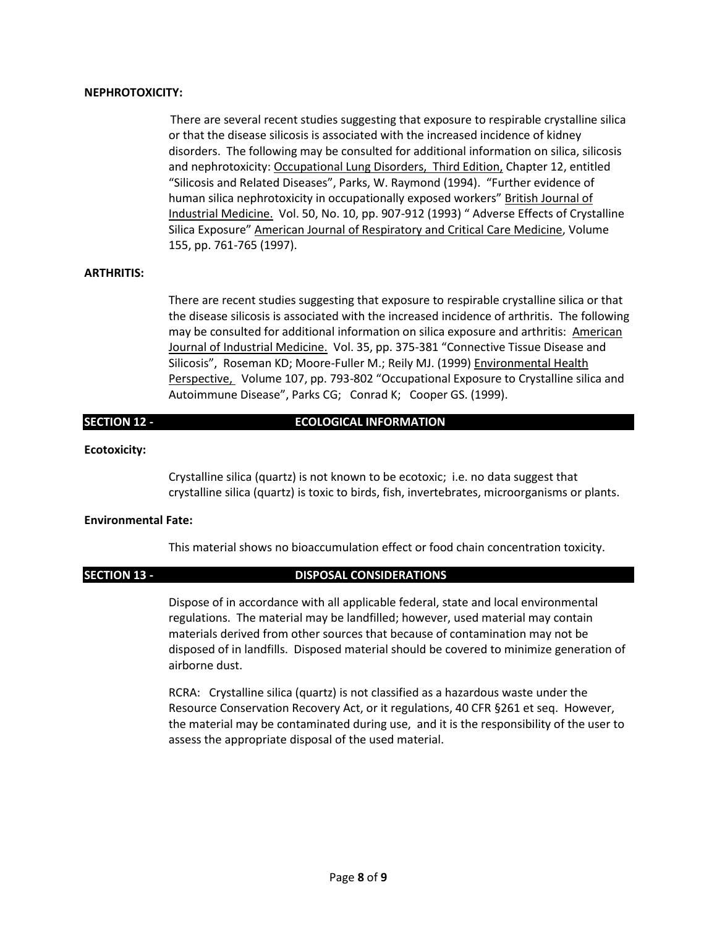#### **NEPHROTOXICITY:**

There are several recent studies suggesting that exposure to respirable crystalline silica or that the disease silicosis is associated with the increased incidence of kidney disorders. The following may be consulted for additional information on silica, silicosis and nephrotoxicity: Occupational Lung Disorders, Third Edition, Chapter 12, entitled "Silicosis and Related Diseases", Parks, W. Raymond (1994). "Further evidence of human silica nephrotoxicity in occupationally exposed workers" British Journal of Industrial Medicine. Vol. 50, No. 10, pp. 907-912 (1993) " Adverse Effects of Crystalline Silica Exposure" American Journal of Respiratory and Critical Care Medicine, Volume 155, pp. 761-765 (1997).

### **ARTHRITIS:**

There are recent studies suggesting that exposure to respirable crystalline silica or that the disease silicosis is associated with the increased incidence of arthritis. The following may be consulted for additional information on silica exposure and arthritis: American Journal of Industrial Medicine. Vol. 35, pp. 375-381 "Connective Tissue Disease and Silicosis", Roseman KD; Moore-Fuller M.; Reily MJ. (1999) Environmental Health Perspective, Volume 107, pp. 793-802 "Occupational Exposure to Crystalline silica and Autoimmune Disease", Parks CG; Conrad K; Cooper GS. (1999).

### **SECTION 12 - ECOLOGICAL INFORMATION**

#### **Ecotoxicity:**

Crystalline silica (quartz) is not known to be ecotoxic; i.e. no data suggest that crystalline silica (quartz) is toxic to birds, fish, invertebrates, microorganisms or plants.

#### **Environmental Fate:**

This material shows no bioaccumulation effect or food chain concentration toxicity.

#### **SECTION 13 - DISPOSAL CONSIDERATIONS**

Dispose of in accordance with all applicable federal, state and local environmental regulations. The material may be landfilled; however, used material may contain materials derived from other sources that because of contamination may not be disposed of in landfills. Disposed material should be covered to minimize generation of airborne dust.

RCRA: Crystalline silica (quartz) is not classified as a hazardous waste under the Resource Conservation Recovery Act, or it regulations, 40 CFR §261 et seq. However, the material may be contaminated during use, and it is the responsibility of the user to assess the appropriate disposal of the used material.